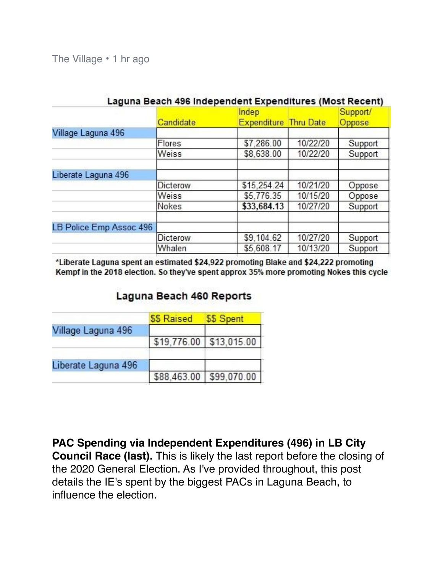The Village • [1 hr ago](https://nextdoor.com/news_feed/?post=166471893)

|                         | Candidate | Indep<br><b>Expenditure Thru Date</b> |          | Support/<br>Oppose |
|-------------------------|-----------|---------------------------------------|----------|--------------------|
| Village Laguna 496      |           |                                       |          |                    |
|                         | Flores    | \$7,286.00                            | 10/22/20 | Support            |
|                         | Weiss     | \$8,638.00                            | 10/22/20 | Support            |
| Liberate Laguna 496     |           |                                       |          |                    |
|                         | Dicterow  | \$15,254.24                           | 10/21/20 | Oppose             |
|                         | Weiss     | \$5,776.35                            | 10/15/20 | Oppose             |
|                         | Nokes     | \$33,684.13                           | 10/27/20 | Support            |
| LB Police Emp Assoc 496 |           |                                       |          |                    |
|                         | Dicterow  | \$9.104.62                            | 10/27/20 | Support            |
|                         | Whalen    | \$5,608.17                            | 10/13/20 | Support            |
|                         |           |                                       |          |                    |

## Laguna Beach 496 Independent Expenditures (Most Recent)

\*Liberate Laguna spent an estimated \$24,922 promoting Blake and \$24,222 promoting Kempf in the 2018 election. So they've spent approx 35% more promoting Nokes this cycle

## Laguna Beach 460 Reports

|                     | \$\$ Raised | \$\$ Spent              |
|---------------------|-------------|-------------------------|
| Village Laguna 496  |             |                         |
|                     |             | \$19,776.00 \$13,015.00 |
| Liberate Laguna 496 |             |                         |
|                     |             | \$88,463.00 \$99,070.00 |

**[PAC Spending via Independent Expenditures \(496\) in LB City](https://nextdoor.com/news_feed/?post=166471893)  [Council Race \(last\).](https://nextdoor.com/news_feed/?post=166471893)** This is likely the last report before the closing of

the 2020 General Election. As I've provided throughout, this post details the IE's spent by the biggest PACs in Laguna Beach, to influence the election.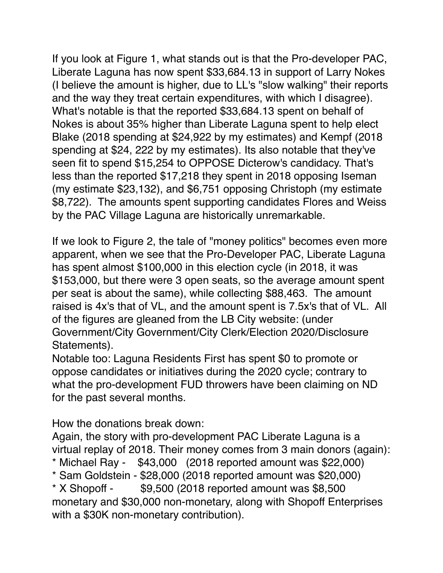If you look at Figure 1, what stands out is that the Pro-developer PAC, Liberate Laguna has now spent \$33,684.13 in support of Larry Nokes (I believe the amount is higher, due to LL's "slow walking" their reports and the way they treat certain expenditures, with which I disagree). What's notable is that the reported \$33,684.13 spent on behalf of Nokes is about 35% higher than Liberate Laguna spent to help elect Blake (2018 spending at \$24,922 by my estimates) and Kempf (2018 spending at \$24, 222 by my estimates). Its also notable that they've seen fit to spend \$15,254 to OPPOSE Dicterow's candidacy. That's less than the reported \$17,218 they spent in 2018 opposing Iseman (my estimate \$23,132), and \$6,751 opposing Christoph (my estimate \$8,722). The amounts spent supporting candidates Flores and Weiss by the PAC Village Laguna are historically unremarkable.

If we look to Figure 2, the tale of "money politics" becomes even more apparent, when we see that the Pro-Developer PAC, Liberate Laguna has spent almost \$100,000 in this election cycle (in 2018, it was \$153,000, but there were 3 open seats, so the average amount spent per seat is about the same), while collecting \$88,463. The amount raised is 4x's that of VL, and the amount spent is 7.5x's that of VL. All of the figures are gleaned from the LB City website: (under Government/City Government/City Clerk/Election 2020/Disclosure Statements).

Notable too: Laguna Residents First has spent \$0 to promote or oppose candidates or initiatives during the 2020 cycle; contrary to what the pro-development FUD throwers have been claiming on ND for the past several months.

How the donations break down:

Again, the story with pro-development PAC Liberate Laguna is a virtual replay of 2018. Their money comes from 3 main donors (again):

- \* Michael Ray \$43,000 (2018 reported amount was \$22,000)
- \* Sam Goldstein \$28,000 (2018 reported amount was \$20,000)

 $*$  X Shopoff -  $$9,500$  (2018 reported amount was \$8,500 monetary and \$30,000 non-monetary, along with Shopoff Enterprises with a \$30K non-monetary contribution).